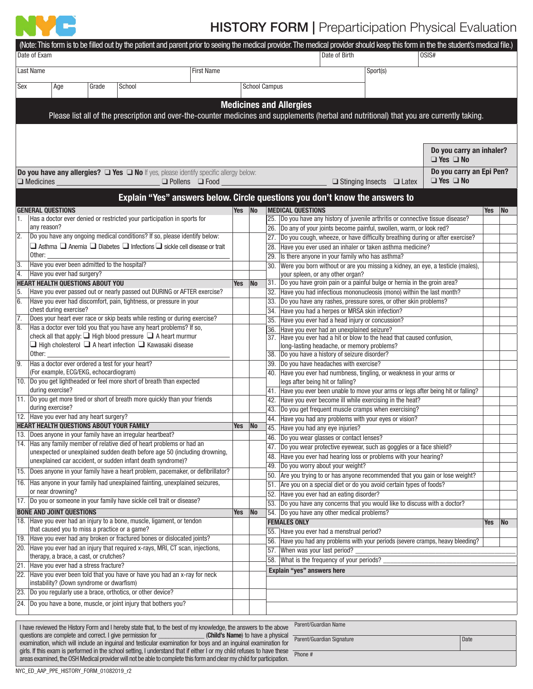

## **HISTORY FORM | Preparticipation Physical Evaluation**

|                                          | Date of Exam                                                                                                                                                                                                      |     |                          | (Note: This form is to be filled out by the patient and parent prior to seeing the medical provider. The medical provider should keep this form in the the student's medical file.)<br>Date of Birth<br>0SIS# |            |  |    |  |
|------------------------------------------|-------------------------------------------------------------------------------------------------------------------------------------------------------------------------------------------------------------------|-----|--------------------------|---------------------------------------------------------------------------------------------------------------------------------------------------------------------------------------------------------------|------------|--|----|--|
| Last Name<br><b>First Name</b>           |                                                                                                                                                                                                                   |     |                          | Sport(s)                                                                                                                                                                                                      |            |  |    |  |
| Sex<br>Grade<br>School<br>Age            |                                                                                                                                                                                                                   |     |                          | <b>School Campus</b>                                                                                                                                                                                          |            |  |    |  |
|                                          |                                                                                                                                                                                                                   |     |                          |                                                                                                                                                                                                               |            |  |    |  |
|                                          |                                                                                                                                                                                                                   |     |                          | <b>Medicines and Allergies</b>                                                                                                                                                                                |            |  |    |  |
|                                          |                                                                                                                                                                                                                   |     |                          | Please list all of the prescription and over-the-counter medicines and supplements (herbal and nutritional) that you are currently taking.                                                                    |            |  |    |  |
|                                          |                                                                                                                                                                                                                   |     |                          |                                                                                                                                                                                                               |            |  |    |  |
|                                          |                                                                                                                                                                                                                   |     |                          |                                                                                                                                                                                                               |            |  |    |  |
|                                          |                                                                                                                                                                                                                   |     |                          | Do you carry an inhaler?<br>$\Box$ Yes $\Box$ No                                                                                                                                                              |            |  |    |  |
|                                          | Do you have any allergies? $\Box$ Yes $\Box$ No If yes, please identify specific allergy below:<br>$\Box$ Medicines<br>$\Box$ Pollens $\Box$ Food                                                                 |     |                          | Do you carry an Epi Pen?<br>$\Box$ Yes $\Box$ No<br>$\Box$ Stinging Insects $\Box$ Latex                                                                                                                      |            |  |    |  |
|                                          |                                                                                                                                                                                                                   |     |                          | Explain "Yes" answers below. Circle questions you don't know the answers to                                                                                                                                   |            |  |    |  |
|                                          | <b>GENERAL OUESTIONS</b>                                                                                                                                                                                          | Yes | $\overline{\mathsf{No}}$ | <b>MEDICAL QUESTIONS</b>                                                                                                                                                                                      | <b>Yes</b> |  | No |  |
|                                          | Has a doctor ever denied or restricted your participation in sports for                                                                                                                                           |     |                          | 25. Do you have any history of juvenile arthritis or connective tissue disease?                                                                                                                               |            |  |    |  |
|                                          | any reason?                                                                                                                                                                                                       |     |                          | 26. Do any of your joints become painful, swollen, warm, or look red?                                                                                                                                         |            |  |    |  |
| 2.                                       | Do you have any ongoing medical conditions? If so, please identify below:                                                                                                                                         |     |                          | 27. Do you cough, wheeze, or have difficulty breathing during or after exercise?                                                                                                                              |            |  |    |  |
|                                          | $\Box$ Asthma $\Box$ Anemia $\Box$ Diabetes $\Box$ Infections $\Box$ sickle cell disease or trait                                                                                                                 |     |                          | Have you ever used an inhaler or taken asthma medicine?<br>28.                                                                                                                                                |            |  |    |  |
| $\overline{3}$                           | Other:<br>Have you ever been admitted to the hospital?                                                                                                                                                            |     |                          | 29.<br>Is there anyone in your family who has asthma?                                                                                                                                                         |            |  |    |  |
| 4.                                       | Have you ever had surgery?                                                                                                                                                                                        |     |                          | Were you born without or are you missing a kidney, an eye, a testicle (males),<br>30.<br>your spleen, or any other organ?                                                                                     |            |  |    |  |
|                                          | <b>HEART HEALTH QUESTIONS ABOUT YOU</b>                                                                                                                                                                           | Yes | No                       | 31. Do you have groin pain or a painful bulge or hernia in the groin area?                                                                                                                                    |            |  |    |  |
| 5.                                       | Have you ever passed out or nearly passed out DURING or AFTER exercise?                                                                                                                                           |     |                          | Have you had infectious mononucleosis (mono) within the last month?<br>32.                                                                                                                                    |            |  |    |  |
| 6.                                       | Have you ever had discomfort, pain, tightness, or pressure in your                                                                                                                                                |     |                          | 33.<br>Do you have any rashes, pressure sores, or other skin problems?                                                                                                                                        |            |  |    |  |
|                                          | chest during exercise?                                                                                                                                                                                            |     |                          | 34. Have you had a herpes or MRSA skin infection?                                                                                                                                                             |            |  |    |  |
| 7.<br>8.                                 | Does your heart ever race or skip beats while resting or during exercise?<br>Has a doctor ever told you that you have any heart problems? If so,                                                                  |     |                          | 35.<br>Have you ever had a head injury or concussion?                                                                                                                                                         |            |  |    |  |
|                                          | check all that apply: $\Box$ High blood pressure $\Box$ A heart murmur                                                                                                                                            |     |                          | Have you ever had an unexplained seizure?<br>36.<br>Have you ever had a hit or blow to the head that caused confusion,<br>37.                                                                                 |            |  |    |  |
|                                          | $\Box$ High cholesterol $\Box$ A heart infection $\Box$ Kawasaki disease                                                                                                                                          |     |                          | long-lasting headache, or memory problems?                                                                                                                                                                    |            |  |    |  |
|                                          | Other:                                                                                                                                                                                                            |     |                          | Do you have a history of seizure disorder?<br>38.                                                                                                                                                             |            |  |    |  |
| $\overline{9}$ .                         | Has a doctor ever ordered a test for your heart?                                                                                                                                                                  |     |                          | 39. Do you have headaches with exercise?                                                                                                                                                                      |            |  |    |  |
| (For example, ECG/EKG, echocardiogram)   |                                                                                                                                                                                                                   |     |                          | Have you ever had numbness, tingling, or weakness in your arms or<br>40.                                                                                                                                      |            |  |    |  |
|                                          | 10. Do you get lightheaded or feel more short of breath than expected                                                                                                                                             |     |                          | legs after being hit or falling?                                                                                                                                                                              |            |  |    |  |
|                                          | during exercise?<br>11. Do you get more tired or short of breath more quickly than your friends                                                                                                                   |     |                          | Have you ever been unable to move your arms or legs after being hit or falling?<br>41.<br>Have you ever become ill while exercising in the heat?<br>42.                                                       |            |  |    |  |
| during exercise?                         |                                                                                                                                                                                                                   |     |                          | 43. Do you get frequent muscle cramps when exercising?                                                                                                                                                        |            |  |    |  |
| 12. Have you ever had any heart surgery? |                                                                                                                                                                                                                   |     |                          | Have you had any problems with your eyes or vision?<br>44.                                                                                                                                                    |            |  |    |  |
|                                          | <b>HEART HEALTH QUESTIONS ABOUT YOUR FAMILY</b>                                                                                                                                                                   | Yes | No                       | 45.<br>Have you had any eye injuries?                                                                                                                                                                         |            |  |    |  |
|                                          | 13. Does anyone in your family have an irregular heartbeat?                                                                                                                                                       |     |                          | 46.<br>Do you wear glasses or contact lenses?                                                                                                                                                                 |            |  |    |  |
|                                          | 14. Has any family member of relative died of heart problems or had an<br>unexpected or unexplained sudden death before age 50 (including drowning,                                                               |     |                          | 47. Do you wear protective eyewear, such as goggles or a face shield?                                                                                                                                         |            |  |    |  |
|                                          | unexplained car accident, or sudden infant death syndrome)?                                                                                                                                                       |     |                          | Have you ever had hearing loss or problems with your hearing?<br>48.                                                                                                                                          |            |  |    |  |
|                                          | 15. Does anyone in your family have a heart problem, pacemaker, or defibrillator?                                                                                                                                 |     |                          | Do you worry about your weight?<br>49.                                                                                                                                                                        |            |  |    |  |
|                                          | 16. Has anyone in your family had unexplained fainting, unexplained seizures,                                                                                                                                     |     |                          | Are you trying to or has anyone recommended that you gain or lose weight?<br>50.<br>Are you on a special diet or do you avoid certain types of foods?<br>51.                                                  |            |  |    |  |
|                                          | or near drowning?                                                                                                                                                                                                 |     |                          | 52. Have you ever had an eating disorder?                                                                                                                                                                     |            |  |    |  |
|                                          | 17. Do you or someone in your family have sickle cell trait or disease?                                                                                                                                           |     |                          | 53. Do you have any concerns that you would like to discuss with a doctor?                                                                                                                                    |            |  |    |  |
|                                          | <b>BONE AND JOINT QUESTIONS</b>                                                                                                                                                                                   | Yes | $\overline{\mathsf{No}}$ | 54. Do you have any other medical problems?                                                                                                                                                                   |            |  |    |  |
|                                          | 18. Have you ever had an injury to a bone, muscle, ligament, or tendon                                                                                                                                            |     |                          | <b>FEMALES ONLY</b>                                                                                                                                                                                           | Yes        |  | No |  |
|                                          | that caused you to miss a practice or a game?                                                                                                                                                                     |     |                          | 55. Have you ever had a menstrual period?                                                                                                                                                                     |            |  |    |  |
|                                          | 19. Have you ever had any broken or fractured bones or dislocated joints?<br>20. Have you ever had an injury that required x-rays, MRI, CT scan, injections,                                                      |     |                          | Have you had any problems with your periods (severe cramps, heavy bleeding?<br>56.                                                                                                                            |            |  |    |  |
|                                          | therapy, a brace, a cast, or crutches?                                                                                                                                                                            |     |                          | 57. When was your last period?                                                                                                                                                                                |            |  |    |  |
|                                          | 21. Have you ever had a stress fracture?                                                                                                                                                                          |     |                          | What is the frequency of your periods?<br>58.                                                                                                                                                                 |            |  |    |  |
|                                          | 22. Have you ever been told that you have or have you had an x-ray for neck                                                                                                                                       |     |                          | Explain "yes" answers here                                                                                                                                                                                    |            |  |    |  |
|                                          | instability? (Down syndrome or dwarfism)                                                                                                                                                                          |     |                          |                                                                                                                                                                                                               |            |  |    |  |
|                                          | 23. Do you regularly use a brace, orthotics, or other device?                                                                                                                                                     |     |                          |                                                                                                                                                                                                               |            |  |    |  |
|                                          | 24. Do you have a bone, muscle, or joint injury that bothers you?                                                                                                                                                 |     |                          |                                                                                                                                                                                                               |            |  |    |  |
|                                          |                                                                                                                                                                                                                   |     |                          |                                                                                                                                                                                                               |            |  |    |  |
|                                          | I have reviewed the History Form and I hereby state that, to the best of my knowledge, the answers to the above                                                                                                   |     |                          | Parent/Guardian Name                                                                                                                                                                                          |            |  |    |  |
|                                          | questions are complete and correct. I give permission for<br>(Child's Name) to have a physical<br>examination, which will include an inguinal and testicular examination for boys and an inguinal examination for |     |                          | Parent/Guardian Signature<br>Date                                                                                                                                                                             |            |  |    |  |
|                                          | girls. If this exam is performed in the school setting, I understand that if either I or my child refuses to have these                                                                                           |     |                          | Phone #                                                                                                                                                                                                       |            |  |    |  |
|                                          | areas examined, the OSH Medical provider will not be able to complete this form and clear my child for participation.                                                                                             |     |                          |                                                                                                                                                                                                               |            |  |    |  |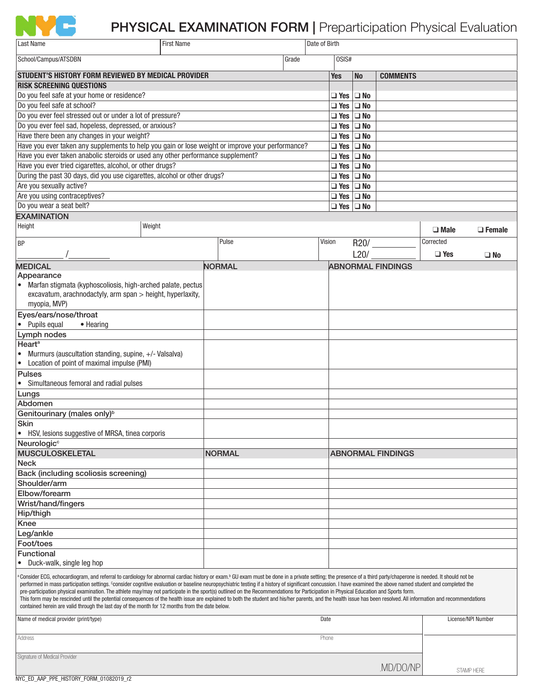

## PHYSICAL EXAMINATION FORM | Preparticipation Physical Evaluation

| Last Name                                                                                                                                                                                                                                                                                                                                                                                                                                                                                                                                                                                                                                                                                                                                                                                                                                                                                                                                                     | <b>First Name</b> |               |                |                      | Date of Birth        |                          |           |                          |             |                    |
|---------------------------------------------------------------------------------------------------------------------------------------------------------------------------------------------------------------------------------------------------------------------------------------------------------------------------------------------------------------------------------------------------------------------------------------------------------------------------------------------------------------------------------------------------------------------------------------------------------------------------------------------------------------------------------------------------------------------------------------------------------------------------------------------------------------------------------------------------------------------------------------------------------------------------------------------------------------|-------------------|---------------|----------------|----------------------|----------------------|--------------------------|-----------|--------------------------|-------------|--------------------|
| School/Campus/ATSDBN                                                                                                                                                                                                                                                                                                                                                                                                                                                                                                                                                                                                                                                                                                                                                                                                                                                                                                                                          |                   |               | Grade<br>0SIS# |                      |                      |                          |           |                          |             |                    |
| STUDENT'S HISTORY FORM REVIEWED BY MEDICAL PROVIDER                                                                                                                                                                                                                                                                                                                                                                                                                                                                                                                                                                                                                                                                                                                                                                                                                                                                                                           |                   |               |                |                      |                      | <b>Yes</b>               | <b>No</b> | <b>COMMENTS</b>          |             |                    |
| <b>RISK SCREENING QUESTIONS</b>                                                                                                                                                                                                                                                                                                                                                                                                                                                                                                                                                                                                                                                                                                                                                                                                                                                                                                                               |                   |               |                |                      |                      |                          |           |                          |             |                    |
| Do you feel safe at your home or residence?                                                                                                                                                                                                                                                                                                                                                                                                                                                                                                                                                                                                                                                                                                                                                                                                                                                                                                                   |                   |               |                |                      |                      | $\Box$ Yes $\Box$ No     |           |                          |             |                    |
| Do you feel safe at school?                                                                                                                                                                                                                                                                                                                                                                                                                                                                                                                                                                                                                                                                                                                                                                                                                                                                                                                                   |                   |               |                |                      |                      | $\Box$ Yes $\Box$ No     |           |                          |             |                    |
| Do you ever feel stressed out or under a lot of pressure?                                                                                                                                                                                                                                                                                                                                                                                                                                                                                                                                                                                                                                                                                                                                                                                                                                                                                                     |                   |               |                |                      |                      | $\Box$ Yes $\Box$ No     |           |                          |             |                    |
| Do you ever feel sad, hopeless, depressed, or anxious?                                                                                                                                                                                                                                                                                                                                                                                                                                                                                                                                                                                                                                                                                                                                                                                                                                                                                                        |                   |               |                |                      |                      | $\Box$ Yes $\Box$ No     |           |                          |             |                    |
| Have there been any changes in your weight?                                                                                                                                                                                                                                                                                                                                                                                                                                                                                                                                                                                                                                                                                                                                                                                                                                                                                                                   |                   |               |                |                      | $\Box$ Yes $\Box$ No |                          |           |                          |             |                    |
| Have you ever taken any supplements to help you gain or lose weight or improve your performance?                                                                                                                                                                                                                                                                                                                                                                                                                                                                                                                                                                                                                                                                                                                                                                                                                                                              |                   |               |                | $\Box$ Yes $\Box$ No |                      |                          |           |                          |             |                    |
| Have you ever taken anabolic steroids or used any other performance supplement?                                                                                                                                                                                                                                                                                                                                                                                                                                                                                                                                                                                                                                                                                                                                                                                                                                                                               |                   |               |                |                      |                      | $\Box$ Yes $\Box$ No     |           |                          |             |                    |
| Have you ever tried cigarettes, alcohol, or other drugs?                                                                                                                                                                                                                                                                                                                                                                                                                                                                                                                                                                                                                                                                                                                                                                                                                                                                                                      |                   |               |                |                      |                      | $\Box$ Yes $\Box$ No     |           |                          |             |                    |
| During the past 30 days, did you use cigarettes, alcohol or other drugs?                                                                                                                                                                                                                                                                                                                                                                                                                                                                                                                                                                                                                                                                                                                                                                                                                                                                                      |                   |               |                |                      |                      | $\Box$ Yes $\Box$ No     |           |                          |             |                    |
| Are you sexually active?                                                                                                                                                                                                                                                                                                                                                                                                                                                                                                                                                                                                                                                                                                                                                                                                                                                                                                                                      |                   |               |                |                      | $\Box$ Yes $\Box$ No |                          |           |                          |             |                    |
| Are you using contraceptives?                                                                                                                                                                                                                                                                                                                                                                                                                                                                                                                                                                                                                                                                                                                                                                                                                                                                                                                                 |                   |               |                |                      | $\Box$ Yes $\Box$ No |                          |           |                          |             |                    |
| Do you wear a seat belt?                                                                                                                                                                                                                                                                                                                                                                                                                                                                                                                                                                                                                                                                                                                                                                                                                                                                                                                                      |                   |               |                |                      |                      | $\Box$ Yes $\Box$ No     |           |                          |             |                    |
| <b>EXAMINATION</b>                                                                                                                                                                                                                                                                                                                                                                                                                                                                                                                                                                                                                                                                                                                                                                                                                                                                                                                                            |                   |               |                |                      |                      |                          |           |                          |             |                    |
| Height                                                                                                                                                                                                                                                                                                                                                                                                                                                                                                                                                                                                                                                                                                                                                                                                                                                                                                                                                        | Weight            |               |                |                      |                      |                          |           |                          | $\Box$ Male | $\Box$ Female      |
| BP                                                                                                                                                                                                                                                                                                                                                                                                                                                                                                                                                                                                                                                                                                                                                                                                                                                                                                                                                            |                   | Pulse         |                |                      | Vision<br>R20/       |                          |           | Corrected                |             |                    |
|                                                                                                                                                                                                                                                                                                                                                                                                                                                                                                                                                                                                                                                                                                                                                                                                                                                                                                                                                               |                   |               |                |                      |                      |                          | L20/      |                          | $\Box$ Yes  | $\square$ No       |
| <b>MEDICAL</b>                                                                                                                                                                                                                                                                                                                                                                                                                                                                                                                                                                                                                                                                                                                                                                                                                                                                                                                                                |                   | <b>NORMAL</b> |                |                      |                      |                          |           | <b>ABNORMAL FINDINGS</b> |             |                    |
| Appearance                                                                                                                                                                                                                                                                                                                                                                                                                                                                                                                                                                                                                                                                                                                                                                                                                                                                                                                                                    |                   |               |                |                      |                      |                          |           |                          |             |                    |
| Marfan stigmata (kyphoscoliosis, high-arched palate, pectus<br>$\bullet$                                                                                                                                                                                                                                                                                                                                                                                                                                                                                                                                                                                                                                                                                                                                                                                                                                                                                      |                   |               |                |                      |                      |                          |           |                          |             |                    |
| excavatum, arachnodactyly, arm span > height, hyperlaxity,                                                                                                                                                                                                                                                                                                                                                                                                                                                                                                                                                                                                                                                                                                                                                                                                                                                                                                    |                   |               |                |                      |                      |                          |           |                          |             |                    |
| myopia, MVP)                                                                                                                                                                                                                                                                                                                                                                                                                                                                                                                                                                                                                                                                                                                                                                                                                                                                                                                                                  |                   |               |                |                      |                      |                          |           |                          |             |                    |
| Eyes/ears/nose/throat                                                                                                                                                                                                                                                                                                                                                                                                                                                                                                                                                                                                                                                                                                                                                                                                                                                                                                                                         |                   |               |                |                      |                      |                          |           |                          |             |                    |
| • Pupils equal<br>• Hearing                                                                                                                                                                                                                                                                                                                                                                                                                                                                                                                                                                                                                                                                                                                                                                                                                                                                                                                                   |                   |               |                |                      |                      |                          |           |                          |             |                    |
| Lymph nodes                                                                                                                                                                                                                                                                                                                                                                                                                                                                                                                                                                                                                                                                                                                                                                                                                                                                                                                                                   |                   |               |                |                      |                      |                          |           |                          |             |                    |
| Heart <sup>a</sup>                                                                                                                                                                                                                                                                                                                                                                                                                                                                                                                                                                                                                                                                                                                                                                                                                                                                                                                                            |                   |               |                |                      |                      |                          |           |                          |             |                    |
| Murmurs (auscultation standing, supine, +/- Valsalva)                                                                                                                                                                                                                                                                                                                                                                                                                                                                                                                                                                                                                                                                                                                                                                                                                                                                                                         |                   |               |                |                      |                      |                          |           |                          |             |                    |
| • Location of point of maximal impulse (PMI)                                                                                                                                                                                                                                                                                                                                                                                                                                                                                                                                                                                                                                                                                                                                                                                                                                                                                                                  |                   |               |                |                      |                      |                          |           |                          |             |                    |
| <b>Pulses</b>                                                                                                                                                                                                                                                                                                                                                                                                                                                                                                                                                                                                                                                                                                                                                                                                                                                                                                                                                 |                   |               |                |                      |                      |                          |           |                          |             |                    |
| • Simultaneous femoral and radial pulses                                                                                                                                                                                                                                                                                                                                                                                                                                                                                                                                                                                                                                                                                                                                                                                                                                                                                                                      |                   |               |                |                      |                      |                          |           |                          |             |                    |
| Lungs<br>Abdomen                                                                                                                                                                                                                                                                                                                                                                                                                                                                                                                                                                                                                                                                                                                                                                                                                                                                                                                                              |                   |               |                |                      |                      |                          |           |                          |             |                    |
| Genitourinary (males only) <sup>b</sup>                                                                                                                                                                                                                                                                                                                                                                                                                                                                                                                                                                                                                                                                                                                                                                                                                                                                                                                       |                   |               |                |                      |                      |                          |           |                          |             |                    |
| <b>Skin</b>                                                                                                                                                                                                                                                                                                                                                                                                                                                                                                                                                                                                                                                                                                                                                                                                                                                                                                                                                   |                   |               |                |                      |                      |                          |           |                          |             |                    |
| HSV, lesions suggestive of MRSA, tinea corporis<br>٠                                                                                                                                                                                                                                                                                                                                                                                                                                                                                                                                                                                                                                                                                                                                                                                                                                                                                                          |                   |               |                |                      |                      |                          |           |                          |             |                    |
| Neurologic <sup>c</sup>                                                                                                                                                                                                                                                                                                                                                                                                                                                                                                                                                                                                                                                                                                                                                                                                                                                                                                                                       |                   |               |                |                      |                      |                          |           |                          |             |                    |
| <b>MUSCULOSKELETAL</b>                                                                                                                                                                                                                                                                                                                                                                                                                                                                                                                                                                                                                                                                                                                                                                                                                                                                                                                                        |                   |               | <b>NORMAL</b>  |                      |                      | <b>ABNORMAL FINDINGS</b> |           |                          |             |                    |
| <b>Neck</b>                                                                                                                                                                                                                                                                                                                                                                                                                                                                                                                                                                                                                                                                                                                                                                                                                                                                                                                                                   |                   |               |                |                      |                      |                          |           |                          |             |                    |
| Back (including scoliosis screening)                                                                                                                                                                                                                                                                                                                                                                                                                                                                                                                                                                                                                                                                                                                                                                                                                                                                                                                          |                   |               |                |                      |                      |                          |           |                          |             |                    |
| Shoulder/arm                                                                                                                                                                                                                                                                                                                                                                                                                                                                                                                                                                                                                                                                                                                                                                                                                                                                                                                                                  |                   |               |                |                      |                      |                          |           |                          |             |                    |
| Elbow/forearm                                                                                                                                                                                                                                                                                                                                                                                                                                                                                                                                                                                                                                                                                                                                                                                                                                                                                                                                                 |                   |               |                |                      |                      |                          |           |                          |             |                    |
| Wrist/hand/fingers                                                                                                                                                                                                                                                                                                                                                                                                                                                                                                                                                                                                                                                                                                                                                                                                                                                                                                                                            |                   |               |                |                      |                      |                          |           |                          |             |                    |
| Hip/thigh                                                                                                                                                                                                                                                                                                                                                                                                                                                                                                                                                                                                                                                                                                                                                                                                                                                                                                                                                     |                   |               |                |                      |                      |                          |           |                          |             |                    |
| Knee                                                                                                                                                                                                                                                                                                                                                                                                                                                                                                                                                                                                                                                                                                                                                                                                                                                                                                                                                          |                   |               |                |                      |                      |                          |           |                          |             |                    |
| Leg/ankle                                                                                                                                                                                                                                                                                                                                                                                                                                                                                                                                                                                                                                                                                                                                                                                                                                                                                                                                                     |                   |               |                |                      |                      |                          |           |                          |             |                    |
| Foot/toes                                                                                                                                                                                                                                                                                                                                                                                                                                                                                                                                                                                                                                                                                                                                                                                                                                                                                                                                                     |                   |               |                |                      |                      |                          |           |                          |             |                    |
| <b>Functional</b>                                                                                                                                                                                                                                                                                                                                                                                                                                                                                                                                                                                                                                                                                                                                                                                                                                                                                                                                             |                   |               |                |                      |                      |                          |           |                          |             |                    |
| Duck-walk, single leg hop<br>٠                                                                                                                                                                                                                                                                                                                                                                                                                                                                                                                                                                                                                                                                                                                                                                                                                                                                                                                                |                   |               |                |                      |                      |                          |           |                          |             |                    |
| Consider ECG, echocardiogram, and referral to cardiology for abnormal cardiac history or exam. <sup>b</sup> GU exam must be done in a private setting; the presence of a third party/chaperone is needed. It should not be<br>performed in mass participation settings. Consider cognitive evaluation or baseline neuropsychiatric testing if a history of significant concussion. I have examined the above named student and completed the<br>pre-participation physical examination. The athlete may/may not participate in the sport(s) outlined on the Recommendations for Participation in Physical Education and Sports form.<br>This form may be rescinded until the potential consequences of the health issue are explained to both the student and his/her parents, and the health issue has been resolved. All information and recommendations<br>contained herein are valid through the last day of the month for 12 months from the date below. |                   |               |                |                      |                      |                          |           |                          |             |                    |
| Name of medical provider (print/type)                                                                                                                                                                                                                                                                                                                                                                                                                                                                                                                                                                                                                                                                                                                                                                                                                                                                                                                         |                   |               |                |                      |                      | Date                     |           |                          |             | License/NPI Number |
| Address                                                                                                                                                                                                                                                                                                                                                                                                                                                                                                                                                                                                                                                                                                                                                                                                                                                                                                                                                       | Phone             |               |                |                      |                      |                          |           |                          |             |                    |
| Signature of Medical Provider                                                                                                                                                                                                                                                                                                                                                                                                                                                                                                                                                                                                                                                                                                                                                                                                                                                                                                                                 |                   |               |                |                      |                      |                          |           |                          |             |                    |
|                                                                                                                                                                                                                                                                                                                                                                                                                                                                                                                                                                                                                                                                                                                                                                                                                                                                                                                                                               |                   |               |                |                      |                      |                          |           | ,MD/DO/NP                |             | STAMP HERE         |